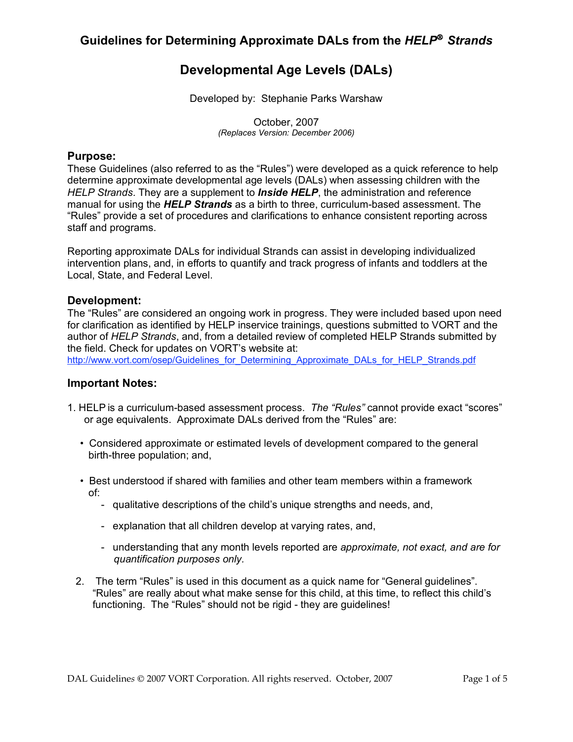# **Developmental Age Levels (DALs)**

Developed by: Stephanie Parks Warshaw

October, 2007 *(Replaces Version: December 2006)*

#### **Purpose:**

These Guidelines (also referred to as the "Rules") were developed as a quick reference to help determine approximate developmental age levels (DALs) when assessing children with the *HELP Strands*. They are a supplement to *Inside HELP*, the administration and reference manual for using the *HELP Strands* as a birth to three, curriculum-based assessment. The "Rules" provide a set of procedures and clarifications to enhance consistent reporting across staff and programs.

Reporting approximate DALs for individual Strands can assist in developing individualized intervention plans, and, in efforts to quantify and track progress of infants and toddlers at the Local, State, and Federal Level.

#### **Development:**

The "Rules" are considered an ongoing work in progress. They were included based upon need for clarification as identified by HELP inservice trainings, questions submitted to VORT and the author of *HELP Strands*, and, from a detailed review of completed HELP Strands submitted by the field. Check for updates on VORT's website at:

[http://www.vort.com/osep/Guidelines\\_for\\_Determining\\_Approximate\\_DALs\\_for\\_HELP\\_Strands.pdf](http://www.vort.com/osep/Guidelines_for_Determining_Approximate_DALs_for_HELP_Strands.pdf)

#### **Important Notes:**

- 1. HELP is a curriculum-based assessment process. *The "Rules"* cannot provide exact "scores" or age equivalents. Approximate DALs derived from the "Rules" are:
	- Considered approximate or estimated levels of development compared to the general birth-three population; and,
	- Best understood if shared with families and other team members within a framework of:
		- qualitative descriptions of the child's unique strengths and needs, and,
		- explanation that all children develop at varying rates, and,
		- understanding that any month levels reported are *approximate, not exact, and are for quantification purposes only.*
	- 2. The term "Rules" is used in this document as a quick name for "General guidelines". "Rules" are really about what make sense for this child, at this time, to reflect this child's functioning. The "Rules" should not be rigid - they are guidelines!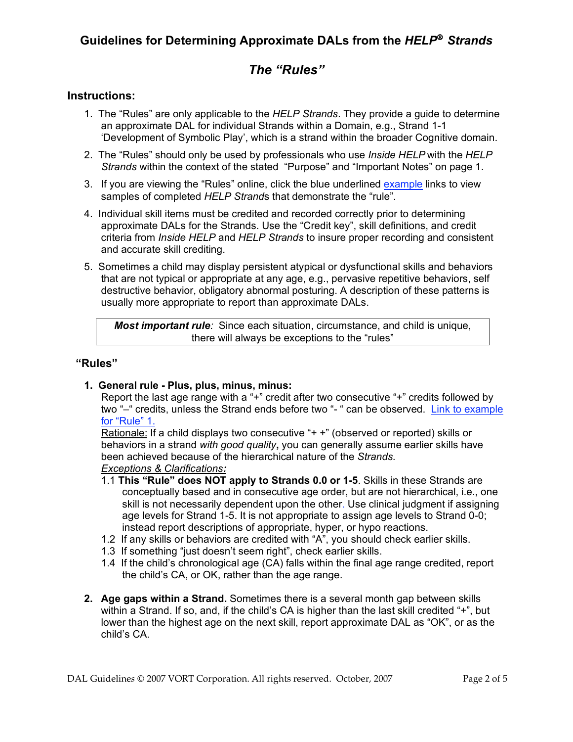## **Guidelines for Determining Approximate DALs from the** *HELP Strands*

# *The "Rules"*

## **Instructions:**

- 1. The "Rules" are only applicable to the *HELP Strands*. They provide a guide to determine an approximate DAL for individual Strands within a Domain, e.g., Strand 1-1 'Development of Symbolic Play', which is a strand within the broader Cognitive domain.
- 2. The "Rules" should only be used by professionals who use *Inside HELP* with the *HELP Strands* within the context of the stated "Purpose" and "Important Notes" on page 1.
- 3. If you are viewing the "Rules" online, click the blue underlined example links to view samples of completed *HELP Strand*s that demonstrate the "rule".
- 4. Individual skill items must be credited and recorded correctly prior to determining approximate DALs for the Strands. Use the "Credit key", skill definitions, and credit criteria from *Inside HELP* and *HELP Strands* to insure proper recording and consistent and accurate skill crediting.
- 5. Sometimes a child may display persistent atypical or dysfunctional skills and behaviors that are not typical or appropriate at any age, e.g., pervasive repetitive behaviors, self destructive behavior, obligatory abnormal posturing. A description of these patterns is usually more appropriate to report than approximate DALs.

*Most important rule:* Since each situation, circumstance, and child is unique, there will always be exceptions to the "rules"

## **"Rules"**

**1. General rule - Plus, plus, minus, minus:**

Report the last age range with a "+" credit after two consecutive "+" credits followed by two "–" credits, unless the Strand ends before two "- " can be observed. Link to [example](http://www.vort.com/osep/dals/1RuleEx.pdf) for ["Rule"](http://www.vort.com/osep/dals/1RuleEx.pdf) 1.

Rationale: If a child displays two consecutive "+ +" (observed or reported) skills or behaviors in a strand *with good quality***,** you can generally assume earlier skills have been achieved because of the hierarchical nature of the *Strands.*

#### *Exceptions & Clarifications:*

- 1.1 **This "Rule" does NOT apply to Strands 0.0 or 1-5**. Skills in these Strands are conceptually based and in consecutive age order, but are not hierarchical, i.e., one skill is not necessarily dependent upon the other. Use clinical judgment if assigning age levels for Strand 1-5. It is not appropriate to assign age levels to Strand 0-0; instead report descriptions of appropriate, hyper, or hypo reactions.
- 1.2 If any skills or behaviors are credited with "A", you should check earlier skills.
- 1.3 If something "just doesn't seem right", check earlier skills.
- 1.4 If the child's chronological age (CA) falls within the final age range credited, report the child's CA, or OK, rather than the age range.
- **2. Age gaps within a Strand.** Sometimes there is a several month gap between skills within a Strand. If so, and, if the child's CA is higher than the last skill credited "+", but lower than the highest age on the next skill, report approximate DAL as "OK", or as the child's CA.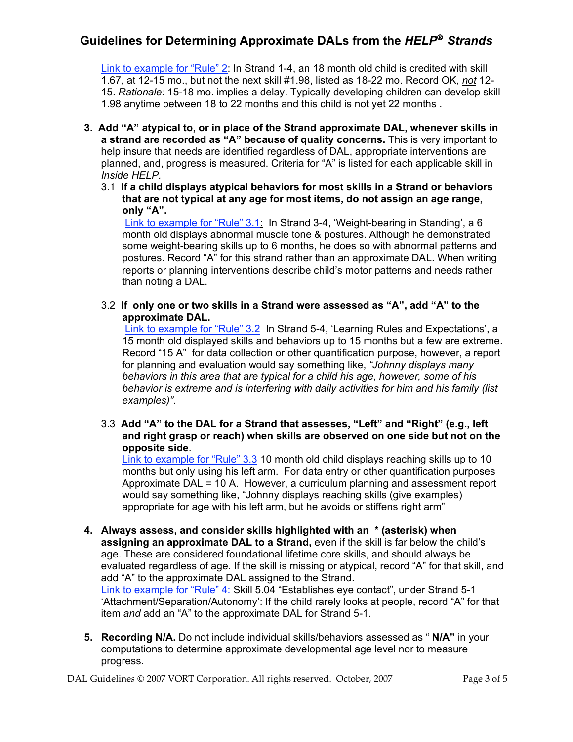## **Guidelines for Determining Approximate DALs from the** *HELP Strands*

Link to [example](http://www.vort.com/osep/dals/2RuleEx.pdf) for "Rule" 2: In Strand 1-4, an 18 month old child is credited with skill 1.67, at 12-15 mo., but not the next skill #1.98, listed as 18-22 mo. Record OK, *not* 12- 15. *Rationale:* 15-18 mo. implies a delay. Typically developing children can develop skill 1.98 anytime between 18 to 22 months and this child is not yet 22 months .

- **3. Add "A" atypical to, or in place of the Strand approximate DAL, whenever skills in a strand are recorded as "A" because of quality concerns.** This is very important to help insure that needs are identified regardless of DAL, appropriate interventions are planned, and, progress is measured. Criteria for "A" is listed for each applicable skill in *Inside HELP.*
	- 3.1 **If a child displays atypical behaviors for most skills in a Strand or behaviors that are not typical at any age for most items, do not assign an age range, only "A".**

Link to [example](http://www.vort.com/osep/dals/3.1RuleEx.pdf) for "Rule" 3.1: In Strand 3-4, 'Weight-bearing in Standing', a 6 month old displays abnormal muscle tone & postures. Although he demonstrated some weight-bearing skills up to 6 months, he does so with abnormal patterns and postures. Record "A" for this strand rather than an approximate DAL. When writing reports or planning interventions describe child's motor patterns and needs rather than noting a DAL.

3.2 **If only one or two skills in a Strand were assessed as "A", add "A" to the approximate DAL.**

Link to [example](http://www.vort.com/osep/dals/3.2RuleEx.pdf) for "Rule" 3.2 In Strand 5-4, 'Learning Rules and Expectations', a 15 month old displayed skills and behaviors up to 15 months but a few are extreme. Record "15 A" for data collection or other quantification purpose, however, a report for planning and evaluation would say something like, *"Johnny displays many behaviors in this area that are typical for a child his age, however, some of his behavior is extreme and is interfering with daily activities for him and his family (list examples)"*.

3.3 **Add "A" to the DAL for a Strand that assesses, "Left" and "Right" (e.g., left and right grasp or reach) when skills are observed on one side but not on the opposite side**.

Link to [example](http://www.vort.com/osep/dals/3.3RuleEx.pdf) for "Rule" 3.3 10 month old child displays reaching skills up to 10 months but only using his left arm. For data entry or other quantification purposes Approximate DAL = 10 A. However, a curriculum planning and assessment report would say something like, "Johnny displays reaching skills (give examples) appropriate for age with his left arm, but he avoids or stiffens right arm"

- **4. Always assess, and consider skills highlighted with an \* (asterisk) when assigning an approximate DAL to a Strand,** even if the skill is far below the child's age. These are considered foundational lifetime core skills, and should always be evaluated regardless of age. If the skill is missing or atypical, record "A" for that skill, and add "A" to the approximate DAL assigned to the Strand. Link to [example](http://www.vort.com/osep/dals/4RuleEx.pdf) for "Rule" 4: Skill 5.04 "Establishes eye contact", under Strand 5-1 'Attachment/Separation/Autonomy': If the child rarely looks at people, record "A" for that item *and* add an "A" to the approximate DAL for Strand 5-1.
- **5. Recording N/A.** Do not include individual skills/behaviors assessed as " **N/A"** in your computations to determine approximate developmental age level nor to measure progress.

DAL Guidelines  $\odot$  2007 VORT Corporation. All rights reserved. October, 2007 Page 3 of 5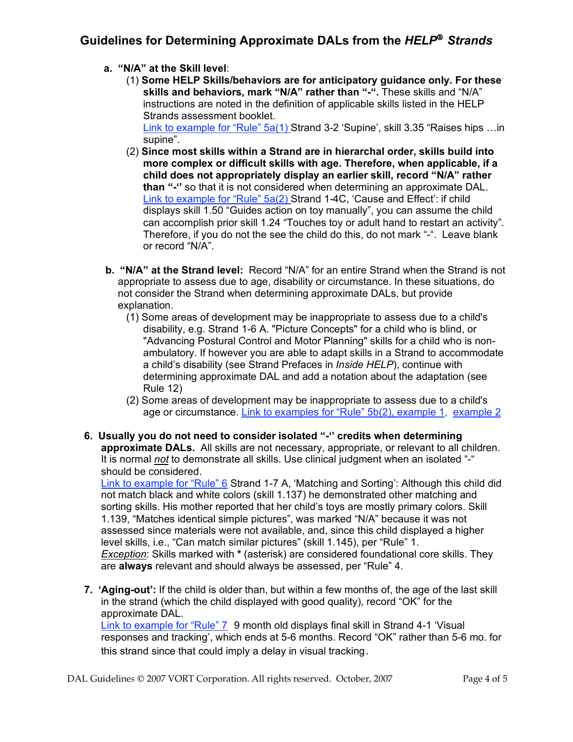## **Guidelines for Determining Approximate DALs from the** *HELP Strands*

## **a. "N/A" at the Skill level**:

(1) **Some HELP Skills/behaviors are for anticipatory guidance only. For these skills and behaviors, mark "N/A" rather than "-".** These skills and "N/A" instructions are noted in the definition of applicable skills listed in the HELP Strands assessment booklet.

Link to [example](http://www.vort.com/osep/dals/5a-1-RuleEx.pdf) for "Rule" 5a(1) Strand 3-2 'Supine', skill 3.35 "Raises hips ... in supine".

- (2) **Since most skills within a Strand are in hierarchal order, skills build into more complex or difficult skills with age. Therefore, when applicable, if a child does not appropriately display an earlier skill, record "N/A" rather than "-''** so that it is not considered when determining an approximate DAL. Link to [example](http://www.vort.com/osep/dals/5a-2-RuleEx.pdf) for "Rule" 5a(2) Strand 1-4C, 'Cause and Effect': if child displays skill 1.50 "Guides action on toy manually", you can assume the child can accomplish prior skill 1.24 "Touches toy or adult hand to restart an activity". Therefore, if you do not the see the child do this, do not mark "-". Leave blank or record "N/A".
- **b. "N/A" at the Strand level:** Record "N/A" for an entire Strand when the Strand is not appropriate to assess due to age, disability or circumstance. In these situations, do not consider the Strand when determining approximate DALs, but provide explanation.
	- (1) Some areas of development may be inappropriate to assess due to a child's disability, e.g. Strand 1-6 A. "Picture Concepts" for a child who is blind, or "Advancing Postural Control and Motor Planning" skills for a child who is nonambulatory. If however you are able to adapt skills in a Strand to accommodate a child's disability (see Strand Prefaces in *Inside HELP*), continue with determining approximate DAL and add a notation about the adaptation (see Rule 12)
	- (2) Some areas of development may be inappropriate to assess due to a child's age or circumstance. Link to [examples](http://www.vort.com/osep/dals/5b-1-RuleEx.pdf) for "Rule" 5b(2), [example](http://www.vort.com/osep/dals/5b-2-RuleEx.pdf) 1, example 2
- **6. Usually you do not need to consider isolated "-'' credits when determining approximate DALs.** All skills are not necessary, appropriate, or relevant to all children. It is normal *not* to demonstrate all skills. Use clinical judgment when an isolated "-" should be considered.

Link to [example](http://www.vort.com/osep/dals/6RuleEx.pdf) for "Rule" 6 Strand 1-7 A, 'Matching and Sorting': Although this child did not match black and white colors (skill 1.137) he demonstrated other matching and sorting skills. His mother reported that her child's toys are mostly primary colors. Skill 1.139, "Matches identical simple pictures", was marked "N/A" because it was not assessed since materials were not available, and, since this child displayed a higher level skills, i.e., "Can match similar pictures" (skill 1.145), per "Rule" 1. *Exception*: Skills marked with **\*** (asterisk) are considered foundational core skills. They are **always** relevant and should always be assessed, per "Rule" 4.

**7. 'Aging-out':** If the child is older than, but within a few months of, the age of the last skill in the strand (which the child displayed with good quality), record "OK" for the approximate DAL. Link to [example](http://www.vort.com/osep/dals/7RuleEx.pdf) for "Rule" 7 9 month old displays final skill in Strand 4-1 'Visual responses and tracking', which ends at 5-6 months. Record "OK" rather than 5-6 mo. for this strand since that could imply a delay in visual tracking*.*